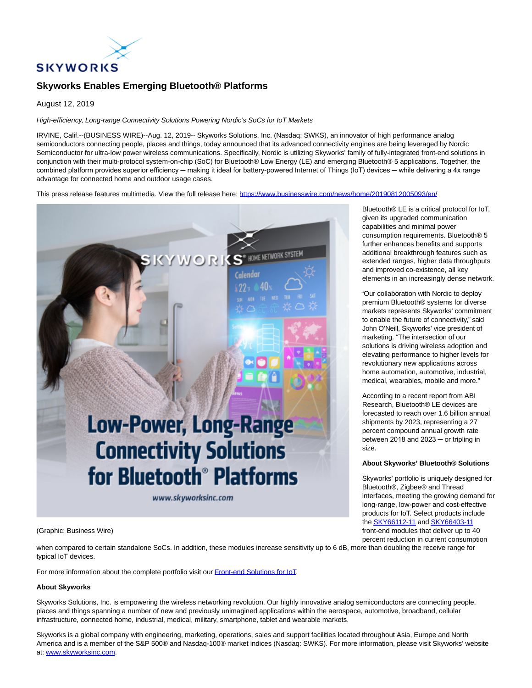

# **Skyworks Enables Emerging Bluetooth® Platforms**

August 12, 2019

## High-efficiency, Long-range Connectivity Solutions Powering Nordic's SoCs for IoT Markets

IRVINE, Calif.--(BUSINESS WIRE)--Aug. 12, 2019-- Skyworks Solutions, Inc. (Nasdaq: SWKS), an innovator of high performance analog semiconductors connecting people, places and things, today announced that its advanced connectivity engines are being leveraged by Nordic Semiconductor for ultra-low power wireless communications. Specifically, Nordic is utilizing Skyworks' family of fully-integrated front-end solutions in conjunction with their multi-protocol system-on-chip (SoC) for Bluetooth® Low Energy (LE) and emerging Bluetooth® 5 applications. Together, the combined platform provides superior efficiency — making it ideal for battery-powered Internet of Things (IoT) devices — while delivering a 4x range advantage for connected home and outdoor usage cases.

This press release features multimedia. View the full release here:<https://www.businesswire.com/news/home/20190812005093/en/>



Bluetooth® LE is a critical protocol for IoT, given its upgraded communication capabilities and minimal power consumption requirements. Bluetooth® 5 further enhances benefits and supports additional breakthrough features such as extended ranges, higher data throughputs and improved co-existence, all key elements in an increasingly dense network.

"Our collaboration with Nordic to deploy premium Bluetooth® systems for diverse markets represents Skyworks' commitment to enable the future of connectivity," said John O'Neill, Skyworks' vice president of marketing. "The intersection of our solutions is driving wireless adoption and elevating performance to higher levels for revolutionary new applications across home automation, automotive, industrial, medical, wearables, mobile and more."

According to a recent report from ABI Research, Bluetooth® LE devices are forecasted to reach over 1.6 billion annual shipments by 2023, representing a 27 percent compound annual growth rate between 2018 and 2023 - or tripling in size.

## **About Skyworks' Bluetooth® Solutions**

Skyworks' portfolio is uniquely designed for Bluetooth®, Zigbee® and Thread interfaces, meeting the growing demand for long-range, low-power and cost-effective products for IoT. Select products include th[e SKY66112-11 a](https://cts.businesswire.com/ct/CT?id=smartlink&url=http%3A%2F%2Fwww.skyworksinc.com%2FProduct%2F3152%2FSKY66112-11%3Fsource%3Dpr&esheet=52077076&newsitemid=20190812005093&lan=en-US&anchor=SKY66112-11&index=1&md5=46305e1b7c0028b83d16fa62029b69c5)n[d SKY66403-11](https://cts.businesswire.com/ct/CT?id=smartlink&url=http%3A%2F%2Fwww.skyworksinc.com%2FProduct%2F4073%2FSKY66403-11%3Fsource%3Dpr&esheet=52077076&newsitemid=20190812005093&lan=en-US&anchor=SKY66403-11&index=2&md5=7c14830222b1c2b528f65440126eae60) front-end modules that deliver up to 40 percent reduction in current consumption

(Graphic: Business Wire)

when compared to certain standalone SoCs. In addition, these modules increase sensitivity up to 6 dB, more than doubling the receive range for typical IoT devices.

For more information about the complete portfolio visit ou[r Front-end Solutions for IoT.](https://cts.businesswire.com/ct/CT?id=smartlink&url=http%3A%2F%2Fwww.skyworksinc.com%2FProducts%2F63%2FFront-end_Modules_for_Connected_Home%2C_Industrial%2C_M2M%2C_Medical%2C_Smart_Energy_and_Wearables&esheet=52077076&newsitemid=20190812005093&lan=en-US&anchor=Front-end+Solutions+for+IoT&index=3&md5=7c632a7df2ce0d371c2a1d74be412a78)

#### **About Skyworks**

Skyworks Solutions, Inc. is empowering the wireless networking revolution. Our highly innovative analog semiconductors are connecting people, places and things spanning a number of new and previously unimagined applications within the aerospace, automotive, broadband, cellular infrastructure, connected home, industrial, medical, military, smartphone, tablet and wearable markets.

Skyworks is a global company with engineering, marketing, operations, sales and support facilities located throughout Asia, Europe and North America and is a member of the S&P 500® and Nasdaq-100® market indices (Nasdaq: SWKS). For more information, please visit Skyworks' website at: [www.skyworksinc.com.](https://cts.businesswire.com/ct/CT?id=smartlink&url=http%3A%2F%2Fwww.skyworksinc.com%2F&esheet=52077076&newsitemid=20190812005093&lan=en-US&anchor=www.skyworksinc.com&index=4&md5=a8440615ff2b2a139a5e2111e1db8b5d)